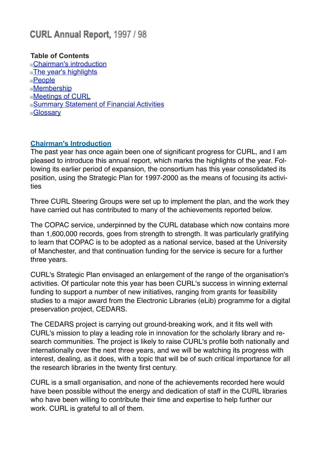# CURL Annual Report, 1997 / 98

## **Table of Contents**

[Chairman's introduction](http://www.curl.ac.uk/about/ar9798.htm#chairman) [The year's highlights](http://www.curl.ac.uk/about/ar9798.htm#highlights) [People](http://www.curl.ac.uk/about/ar9798.htm#people) [Membership](http://www.curl.ac.uk/about/ar9798.htm#membership) [Meetings of CURL](http://www.curl.ac.uk/about/ar9798.htm#meetings) **Summary Statement of Financial Activities [Glossary](http://www.curl.ac.uk/about/ar9798.htm#summary)** 

## **Chairman's Introduction**

The past year has once again been one of significant progress for CURL, and I am pleased to introduce this annual report, which marks the highlights of the year. Following its earlier period of expansion, the consortium has this year consolidated its position, using the Strategic Plan for 1997-2000 as the means of focusing its activities

Three CURL Steering Groups were set up to implement the plan, and the work they have carried out has contributed to many of the achievements reported below.

The COPAC service, underpinned by the CURL database which now contains more than 1,600,000 records, goes from strength to strength. It was particularly gratifying to learn that COPAC is to be adopted as a national service, based at the University of Manchester, and that continuation funding for the service is secure for a further three years.

CURL's Strategic Plan envisaged an enlargement of the range of the organisation's activities. Of particular note this year has been CURL's success in winning external funding to support a number of new initiatives, ranging from grants for feasibility studies to a major award from the Electronic Libraries (eLib) programme for a digital preservation project, CEDARS.

The CEDARS project is carrying out ground-breaking work, and it fits well with CURL's mission to play a leading role in innovation for the scholarly library and research communities. The project is likely to raise CURL's profile both nationally and internationally over the next three years, and we will be watching its progress with interest, dealing, as it does, with a topic that will be of such critical importance for all the research libraries in the twenty first century.

CURL is a small organisation, and none of the achievements recorded here would have been possible without the energy and dedication of staff in the CURL libraries who have been willing to contribute their time and expertise to help further our work. CURL is grateful to all of them.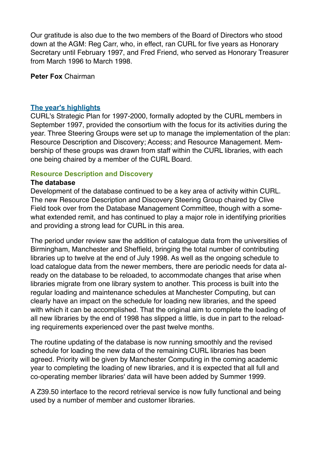Our gratitude is also due to the two members of the Board of Directors who stood down at the AGM: Reg Carr, who, in effect, ran CURL for five years as Honorary Secretary until February 1997, and Fred Friend, who served as Honorary Treasurer from March 1996 to March 1998.

**Peter Fox** Chairman

#### **The year's highlights**

CURL's Strategic Plan for 1997-2000, formally adopted by the CURL members in September 1997, provided the consortium with the focus for its activities during the year. Three Steering Groups were set up to manage the implementation of the plan: Resource Description and Discovery; Access; and Resource Management. Membership of these groups was drawn from staff within the CURL libraries, with each one being chaired by a member of the CURL Board.

#### **Resource Description and Discovery**

#### **The database**

Development of the database continued to be a key area of activity within CURL. The new Resource Description and Discovery Steering Group chaired by Clive Field took over from the Database Management Committee, though with a somewhat extended remit, and has continued to play a major role in identifying priorities and providing a strong lead for CURL in this area.

The period under review saw the addition of catalogue data from the universities of Birmingham, Manchester and Sheffield, bringing the total number of contributing libraries up to twelve at the end of July 1998. As well as the ongoing schedule to load catalogue data from the newer members, there are periodic needs for data already on the database to be reloaded, to accommodate changes that arise when libraries migrate from one library system to another. This process is built into the regular loading and maintenance schedules at Manchester Computing, but can clearly have an impact on the schedule for loading new libraries, and the speed with which it can be accomplished. That the original aim to complete the loading of all new libraries by the end of 1998 has slipped a little, is due in part to the reloading requirements experienced over the past twelve months.

The routine updating of the database is now running smoothly and the revised schedule for loading the new data of the remaining CURL libraries has been agreed. Priority will be given by Manchester Computing in the coming academic year to completing the loading of new libraries, and it is expected that all full and co-operating member libraries' data will have been added by Summer 1999.

A Z39.50 interface to the record retrieval service is now fully functional and being used by a number of member and customer libraries.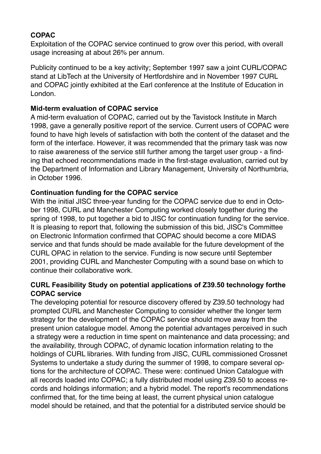## **COPAC**

Exploitation of the COPAC service continued to grow over this period, with overall usage increasing at about 26% per annum.

Publicity continued to be a key activity; September 1997 saw a joint CURL/COPAC stand at LibTech at the University of Hertfordshire and in November 1997 CURL and COPAC jointly exhibited at the Earl conference at the Institute of Education in London.

## **Mid-term evaluation of COPAC service**

A mid-term evaluation of COPAC, carried out by the Tavistock Institute in March 1998, gave a generally positive report of the service. Current users of COPAC were found to have high levels of satisfaction with both the content of the dataset and the form of the interface. However, it was recommended that the primary task was now to raise awareness of the service still further among the target user group - a finding that echoed recommendations made in the first-stage evaluation, carried out by the Department of Information and Library Management, University of Northumbria, in October 1996.

## **Continuation funding for the COPAC service**

With the initial JISC three-year funding for the COPAC service due to end in October 1998, CURL and Manchester Computing worked closely together during the spring of 1998, to put together a bid to JISC for continuation funding for the service. It is pleasing to report that, following the submission of this bid, JISC's Committee on Electronic Information confirmed that COPAC should become a core MIDAS service and that funds should be made available for the future development of the CURL OPAC in relation to the service. Funding is now secure until September 2001, providing CURL and Manchester Computing with a sound base on which to continue their collaborative work.

## **CURL Feasibility Study on potential applications of Z39.50 technology forthe COPAC service**

The developing potential for resource discovery offered by Z39.50 technology had prompted CURL and Manchester Computing to consider whether the longer term strategy for the development of the COPAC service should move away from the present union catalogue model. Among the potential advantages perceived in such a strategy were a reduction in time spent on maintenance and data processing; and the availability, through COPAC, of dynamic location information relating to the holdings of CURL libraries. With funding from JISC, CURL commissioned Crossnet Systems to undertake a study during the summer of 1998, to compare several options for the architecture of COPAC. These were: continued Union Catalogue with all records loaded into COPAC; a fully distributed model using Z39.50 to access records and holdings information; and a hybrid model. The report's recommendations confirmed that, for the time being at least, the current physical union catalogue model should be retained, and that the potential for a distributed service should be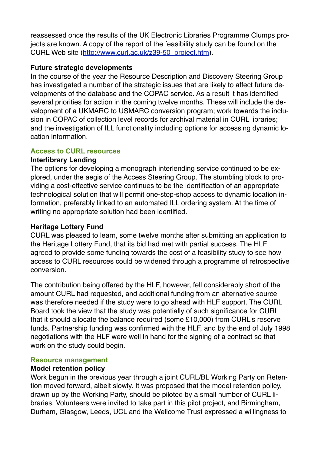reassessed once the results of the UK Electronic Libraries Programme Clumps projects are known. A copy of the report of the feasibility study can be found on the CURL Web site ([http://www.curl.ac.uk/z39-50\\_project.htm\)](http://www.curl.ac.uk/z39-50_project.htm).

### **Future strategic developments**

In the course of the year the Resource Description and Discovery Steering Group has investigated a number of the strategic issues that are likely to affect future developments of the database and the COPAC service. As a result it has identified several priorities for action in the coming twelve months. These will include the development of a UKMARC to USMARC conversion program; work towards the inclusion in COPAC of collection level records for archival material in CURL libraries; and the investigation of ILL functionality including options for accessing dynamic location information.

## **Access to CURL resources**

## **Interlibrary Lending**

The options for developing a monograph interlending service continued to be explored, under the aegis of the Access Steering Group. The stumbling block to providing a cost-effective service continues to be the identification of an appropriate technological solution that will permit one-stop-shop access to dynamic location information, preferably linked to an automated ILL ordering system. At the time of writing no appropriate solution had been identified.

## **Heritage Lottery Fund**

CURL was pleased to learn, some twelve months after submitting an application to the Heritage Lottery Fund, that its bid had met with partial success. The HLF agreed to provide some funding towards the cost of a feasibility study to see how access to CURL resources could be widened through a programme of retrospective conversion.

The contribution being offered by the HLF, however, fell considerably short of the amount CURL had requested, and additional funding from an alternative source was therefore needed if the study were to go ahead with HLF support. The CURL Board took the view that the study was potentially of such significance for CURL that it should allocate the balance required (some £10,000) from CURL's reserve funds. Partnership funding was confirmed with the HLF, and by the end of July 1998 negotiations with the HLF were well in hand for the signing of a contract so that work on the study could begin.

#### **Resource management**

#### **Model retention policy**

Work begun in the previous year through a joint CURL/BL Working Party on Retention moved forward, albeit slowly. It was proposed that the model retention policy, drawn up by the Working Party, should be piloted by a small number of CURL libraries. Volunteers were invited to take part in this pilot project, and Birmingham, Durham, Glasgow, Leeds, UCL and the Wellcome Trust expressed a willingness to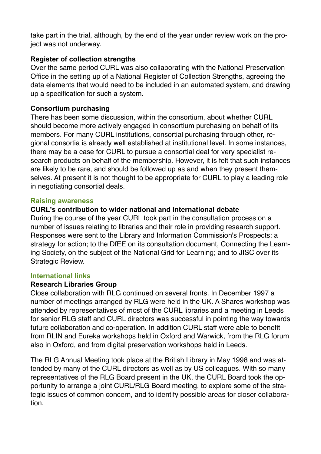take part in the trial, although, by the end of the year under review work on the project was not underway.

## **Register of collection strengths**

Over the same period CURL was also collaborating with the National Preservation Office in the setting up of a National Register of Collection Strengths, agreeing the data elements that would need to be included in an automated system, and drawing up a specification for such a system.

## **Consortium purchasing**

There has been some discussion, within the consortium, about whether CURL should become more actively engaged in consortium purchasing on behalf of its members. For many CURL institutions, consortial purchasing through other, regional consortia is already well established at institutional level. In some instances, there may be a case for CURL to pursue a consortial deal for very specialist research products on behalf of the membership. However, it is felt that such instances are likely to be rare, and should be followed up as and when they present themselves. At present it is not thought to be appropriate for CURL to play a leading role in negotiating consortial deals.

#### **Raising awareness**

## **CURL's contribution to wider national and international debate**

During the course of the year CURL took part in the consultation process on a number of issues relating to libraries and their role in providing research support. Responses were sent to the Library and Information Commission's Prospects: a strategy for action; to the DfEE on its consultation document, Connecting the Learning Society, on the subject of the National Grid for Learning; and to JISC over its Strategic Review.

#### **International links**

#### **Research Libraries Group**

Close collaboration with RLG continued on several fronts. In December 1997 a number of meetings arranged by RLG were held in the UK. A Shares workshop was attended by representatives of most of the CURL libraries and a meeting in Leeds for senior RLG staff and CURL directors was successful in pointing the way towards future collaboration and co-operation. In addition CURL staff were able to benefit from RLIN and Eureka workshops held in Oxford and Warwick, from the RLG forum also in Oxford, and from digital preservation workshops held in Leeds.

The RLG Annual Meeting took place at the British Library in May 1998 and was attended by many of the CURL directors as well as by US colleagues. With so many representatives of the RLG Board present in the UK, the CURL Board took the opportunity to arrange a joint CURL/RLG Board meeting, to explore some of the strategic issues of common concern, and to identify possible areas for closer collaboration.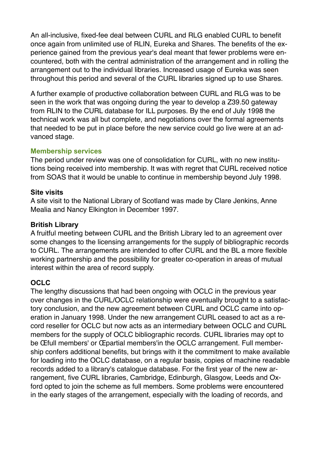An all-inclusive, fixed-fee deal between CURL and RLG enabled CURL to benefit once again from unlimited use of RLIN, Eureka and Shares. The benefits of the experience gained from the previous year's deal meant that fewer problems were encountered, both with the central administration of the arrangement and in rolling the arrangement out to the individual libraries. Increased usage of Eureka was seen throughout this period and several of the CURL libraries signed up to use Shares.

A further example of productive collaboration between CURL and RLG was to be seen in the work that was ongoing during the year to develop a Z39.50 gateway from RLIN to the CURL database for ILL purposes. By the end of July 1998 the technical work was all but complete, and negotiations over the formal agreements that needed to be put in place before the new service could go live were at an advanced stage.

#### **Membership services**

The period under review was one of consolidation for CURL, with no new institutions being received into membership. It was with regret that CURL received notice from SOAS that it would be unable to continue in membership beyond July 1998.

#### **Site visits**

A site visit to the National Library of Scotland was made by Clare Jenkins, Anne Mealia and Nancy Elkington in December 1997.

#### **British Library**

A fruitful meeting between CURL and the British Library led to an agreement over some changes to the licensing arrangements for the supply of bibliographic records to CURL. The arrangements are intended to offer CURL and the BL a more flexible working partnership and the possibility for greater co-operation in areas of mutual interest within the area of record supply.

## **OCLC**

The lengthy discussions that had been ongoing with OCLC in the previous year over changes in the CURL/OCLC relationship were eventually brought to a satisfactory conclusion, and the new agreement between CURL and OCLC came into operation in January 1998. Under the new arrangement CURL ceased to act as a record reseller for OCLC but now acts as an intermediary between OCLC and CURL members for the supply of OCLC bibliographic records. CURL libraries may opt to be Œfull members' or Œpartial members'in the OCLC arrangement. Full membership confers additional benefits, but brings with it the commitment to make available for loading into the OCLC database, on a regular basis, copies of machine readable records added to a library's catalogue database. For the first year of the new arrangement, five CURL libraries, Cambridge, Edinburgh, Glasgow, Leeds and Oxford opted to join the scheme as full members. Some problems were encountered in the early stages of the arrangement, especially with the loading of records, and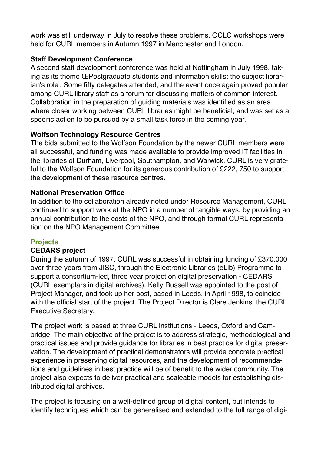work was still underway in July to resolve these problems. OCLC workshops were held for CURL members in Autumn 1997 in Manchester and London.

## **Staff Development Conference**

A second staff development conference was held at Nottingham in July 1998, taking as its theme ŒPostgraduate students and information skills: the subject librarian's role'. Some fifty delegates attended, and the event once again proved popular among CURL library staff as a forum for discussing matters of common interest. Collaboration in the preparation of guiding materials was identified as an area where closer working between CURL libraries might be beneficial, and was set as a specific action to be pursued by a small task force in the coming year.

## **Wolfson Technology Resource Centres**

The bids submitted to the Wolfson Foundation by the newer CURL members were all successful, and funding was made available to provide improved IT facilities in the libraries of Durham, Liverpool, Southampton, and Warwick. CURL is very grateful to the Wolfson Foundation for its generous contribution of £222, 750 to support the development of these resource centres.

## **National Preservation Office**

In addition to the collaboration already noted under Resource Management, CURL continued to support work at the NPO in a number of tangible ways, by providing an annual contribution to the costs of the NPO, and through formal CURL representation on the NPO Management Committee.

## **Projects**

#### **CEDARS project**

During the autumn of 1997, CURL was successful in obtaining funding of £370,000 over three years from JISC, through the Electronic Libraries (eLib) Programme to support a consortium-led, three year project on digital preservation - CEDARS (CURL exemplars in digital archives). Kelly Russell was appointed to the post of Project Manager, and took up her post, based in Leeds, in April 1998, to coincide with the official start of the project. The Project Director is Clare Jenkins, the CURL Executive Secretary.

The project work is based at three CURL institutions - Leeds, Oxford and Cambridge. The main objective of the project is to address strategic, methodological and practical issues and provide guidance for libraries in best practice for digital preservation. The development of practical demonstrators will provide concrete practical experience in preserving digital resources, and the development of recommendations and guidelines in best practice will be of benefit to the wider community. The project also expects to deliver practical and scaleable models for establishing distributed digital archives.

The project is focusing on a well-defined group of digital content, but intends to identify techniques which can be generalised and extended to the full range of digi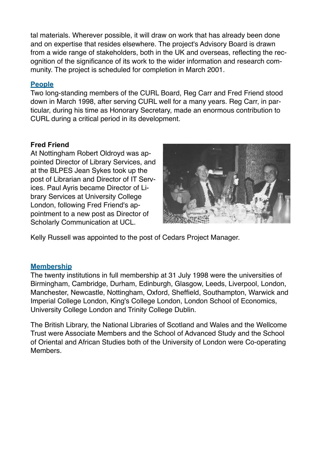tal materials. Wherever possible, it will draw on work that has already been done and on expertise that resides elsewhere. The project's Advisory Board is drawn from a wide range of stakeholders, both in the UK and overseas, reflecting the recognition of the significance of its work to the wider information and research community. The project is scheduled for completion in March 2001.

## **People**

Two long-standing members of the CURL Board, Reg Carr and Fred Friend stood down in March 1998, after serving CURL well for a many years. Reg Carr, in particular, during his time as Honorary Secretary, made an enormous contribution to CURL during a critical period in its development.

#### **Fred Friend**

At Nottingham Robert Oldroyd was appointed Director of Library Services, and at the BLPES Jean Sykes took up the post of Librarian and Director of IT Services. Paul Ayris became Director of Library Services at University College London, following Fred Friend's appointment to a new post as Director of Scholarly Communication at UCL.



Kelly Russell was appointed to the post of Cedars Project Manager.

#### **Membership**

The twenty institutions in full membership at 31 July 1998 were the universities of Birmingham, Cambridge, Durham, Edinburgh, Glasgow, Leeds, Liverpool, London, Manchester, Newcastle, Nottingham, Oxford, Sheffield, Southampton, Warwick and Imperial College London, King's College London, London School of Economics, University College London and Trinity College Dublin.

The British Library, the National Libraries of Scotland and Wales and the Wellcome Trust were Associate Members and the School of Advanced Study and the School of Oriental and African Studies both of the University of London were Co-operating Members.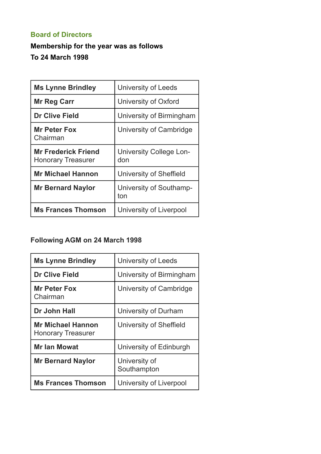## **Board of Directors**

## **Membership for the year was as follows To 24 March 1998**

| <b>Ms Lynne Brindley</b>                                | <b>University of Leeds</b>     |  |
|---------------------------------------------------------|--------------------------------|--|
| <b>Mr Reg Carr</b>                                      | University of Oxford           |  |
| <b>Dr Clive Field</b>                                   | University of Birmingham       |  |
| <b>Mr Peter Fox</b><br>Chairman                         | University of Cambridge        |  |
| <b>Mr Frederick Friend</b><br><b>Honorary Treasurer</b> | University College Lon-<br>don |  |
| <b>Mr Michael Hannon</b>                                | University of Sheffield        |  |
| <b>Mr Bernard Naylor</b>                                | University of Southamp-<br>ton |  |
| <b>Ms Frances Thomson</b>                               | University of Liverpool        |  |

## **Following AGM on 24 March 1998**

| <b>Ms Lynne Brindley</b>                              | University of Leeds          |  |
|-------------------------------------------------------|------------------------------|--|
| <b>Dr Clive Field</b>                                 | University of Birmingham     |  |
| <b>Mr Peter Fox</b><br>Chairman                       | University of Cambridge      |  |
| Dr John Hall                                          | University of Durham         |  |
| <b>Mr Michael Hannon</b><br><b>Honorary Treasurer</b> | University of Sheffield      |  |
| <b>Mr Ian Mowat</b>                                   | University of Edinburgh      |  |
| <b>Mr Bernard Naylor</b>                              | University of<br>Southampton |  |
| <b>Ms Frances Thomson</b>                             | University of Liverpool      |  |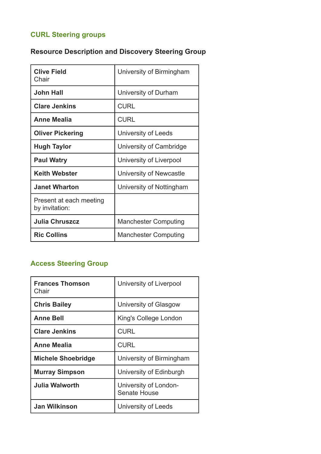## **CURL Steering groups**

## **Resource Description and Discovery Steering Group**

| <b>Clive Field</b><br>Chair               | University of Birmingham    |  |
|-------------------------------------------|-----------------------------|--|
| <b>John Hall</b>                          | University of Durham        |  |
| <b>Clare Jenkins</b>                      | <b>CURL</b>                 |  |
| Anne Mealia                               | <b>CURL</b>                 |  |
| <b>Oliver Pickering</b>                   | University of Leeds         |  |
| <b>Hugh Taylor</b>                        | University of Cambridge     |  |
| <b>Paul Watry</b>                         | University of Liverpool     |  |
| <b>Keith Webster</b>                      | University of Newcastle     |  |
| <b>Janet Wharton</b>                      | University of Nottingham    |  |
| Present at each meeting<br>by invitation: |                             |  |
| <b>Julia Chruszcz</b>                     | <b>Manchester Computing</b> |  |
| <b>Ric Collins</b>                        | <b>Manchester Computing</b> |  |

## **Access Steering Group**

| <b>Frances Thomson</b><br>Chair | University of Liverpool               |  |
|---------------------------------|---------------------------------------|--|
| <b>Chris Bailey</b>             | University of Glasgow                 |  |
| <b>Anne Bell</b>                | King's College London                 |  |
| <b>Clare Jenkins</b>            | <b>CURL</b>                           |  |
| Anne Mealia                     | <b>CURL</b>                           |  |
| <b>Michele Shoebridge</b>       | University of Birmingham              |  |
| <b>Murray Simpson</b>           | University of Edinburgh               |  |
| Julia Walworth                  | University of London-<br>Senate House |  |
| <b>Jan Wilkinson</b>            | University of Leeds                   |  |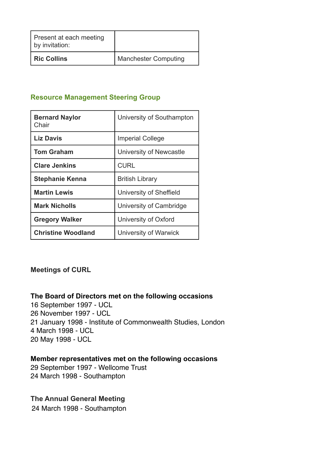| Present at each meeting<br>by invitation: |                             |
|-------------------------------------------|-----------------------------|
| <b>Ric Collins</b>                        | <b>Manchester Computing</b> |

### **Resource Management Steering Group**

| <b>Bernard Naylor</b><br>Chair | University of Southampton |  |
|--------------------------------|---------------------------|--|
| <b>Liz Davis</b>               | <b>Imperial College</b>   |  |
| <b>Tom Graham</b>              | University of Newcastle   |  |
| <b>Clare Jenkins</b>           | <b>CURL</b>               |  |
| <b>Stephanie Kenna</b>         | <b>British Library</b>    |  |
| <b>Martin Lewis</b>            | University of Sheffield   |  |
| <b>Mark Nicholls</b>           | University of Cambridge   |  |
| <b>Gregory Walker</b>          | University of Oxford      |  |
| <b>Christine Woodland</b>      | University of Warwick     |  |

#### **Meetings of CURL**

#### **The Board of Directors met on the following occasions**

16 September 1997 - UCL 26 November 1997 - UCL 21 January 1998 - Institute of Commonwealth Studies, London 4 March 1998 - UCL 20 May 1998 - UCL

#### **Member representatives met on the following occasions**

29 September 1997 - Wellcome Trust 24 March 1998 - Southampton

#### **The Annual General Meeting**

24 March 1998 - Southampton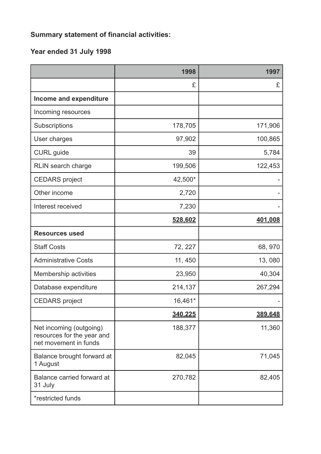# **Summary statement of financial activities:**

## **Year ended 31 July 1998**

|                                                                                | 1998    | 1997    |
|--------------------------------------------------------------------------------|---------|---------|
|                                                                                | £       | £       |
| Income and expenditure                                                         |         |         |
| Incoming resources                                                             |         |         |
| Subscriptions                                                                  | 178,705 | 171,906 |
| User charges                                                                   | 97,902  | 100,865 |
| <b>CURL</b> guide                                                              | 39      | 5,784   |
| RLIN search charge                                                             | 199,506 | 122,453 |
| <b>CEDARS</b> project                                                          | 42,500* |         |
| Other income                                                                   | 2,720   |         |
| Interest received                                                              | 7,230   |         |
|                                                                                | 528,602 | 401.008 |
| <b>Resources used</b>                                                          |         |         |
| <b>Staff Costs</b>                                                             | 72, 227 | 68, 970 |
| <b>Administrative Costs</b>                                                    | 11, 450 | 13,080  |
| Membership activities                                                          | 23,950  | 40,304  |
| Database expenditure                                                           | 214,137 | 267,294 |
| <b>CEDARS</b> project                                                          | 16,461* |         |
|                                                                                | 340,225 | 389,648 |
| Net incoming (outgoing)<br>resources for the year and<br>net movement in funds | 188,377 | 11,360  |
| Balance brought forward at<br>1 August                                         | 82,045  | 71,045  |
| Balance carried forward at<br>31 July                                          | 270,782 | 82,405  |
| *restricted funds                                                              |         |         |